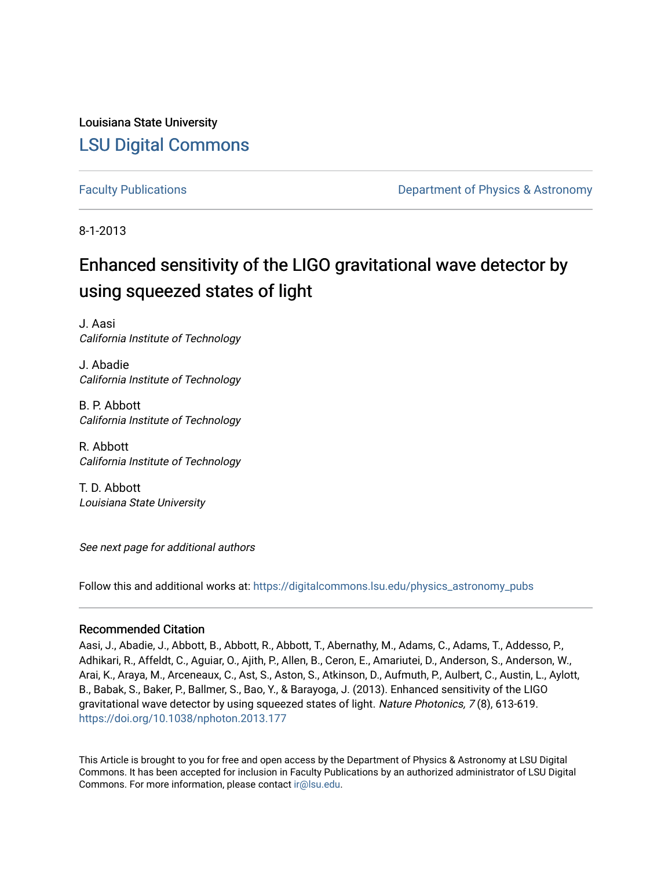Louisiana State University [LSU Digital Commons](https://digitalcommons.lsu.edu/)

[Faculty Publications](https://digitalcommons.lsu.edu/physics_astronomy_pubs) **Example 2** Constant Department of Physics & Astronomy

8-1-2013

# Enhanced sensitivity of the LIGO gravitational wave detector by using squeezed states of light

J. Aasi California Institute of Technology

J. Abadie California Institute of Technology

B. P. Abbott California Institute of Technology

R. Abbott California Institute of Technology

T. D. Abbott Louisiana State University

See next page for additional authors

Follow this and additional works at: [https://digitalcommons.lsu.edu/physics\\_astronomy\\_pubs](https://digitalcommons.lsu.edu/physics_astronomy_pubs?utm_source=digitalcommons.lsu.edu%2Fphysics_astronomy_pubs%2F1128&utm_medium=PDF&utm_campaign=PDFCoverPages) 

# Recommended Citation

Aasi, J., Abadie, J., Abbott, B., Abbott, R., Abbott, T., Abernathy, M., Adams, C., Adams, T., Addesso, P., Adhikari, R., Affeldt, C., Aguiar, O., Ajith, P., Allen, B., Ceron, E., Amariutei, D., Anderson, S., Anderson, W., Arai, K., Araya, M., Arceneaux, C., Ast, S., Aston, S., Atkinson, D., Aufmuth, P., Aulbert, C., Austin, L., Aylott, B., Babak, S., Baker, P., Ballmer, S., Bao, Y., & Barayoga, J. (2013). Enhanced sensitivity of the LIGO gravitational wave detector by using squeezed states of light. Nature Photonics, 7(8), 613-619. <https://doi.org/10.1038/nphoton.2013.177>

This Article is brought to you for free and open access by the Department of Physics & Astronomy at LSU Digital Commons. It has been accepted for inclusion in Faculty Publications by an authorized administrator of LSU Digital Commons. For more information, please contact [ir@lsu.edu](mailto:ir@lsu.edu).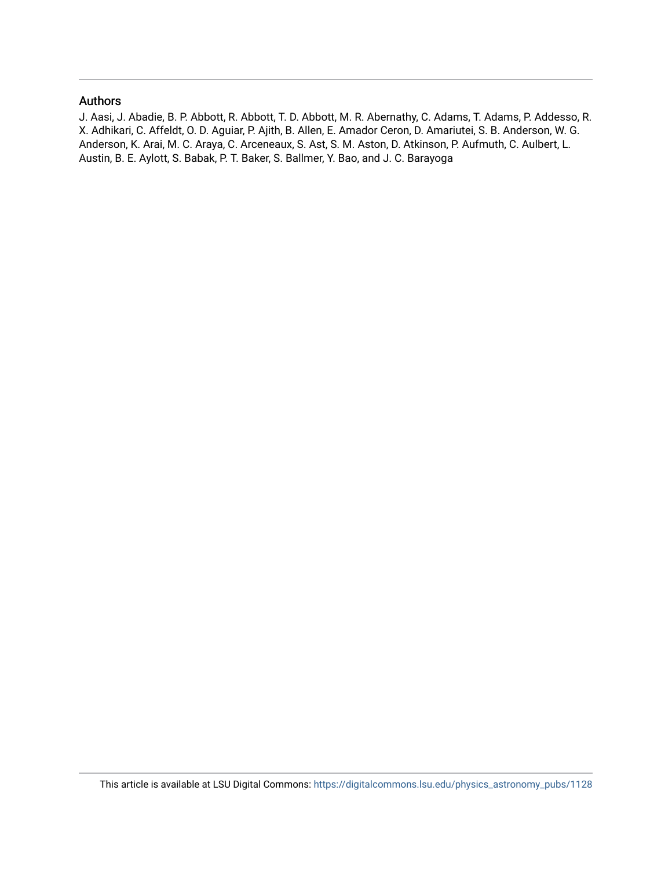# Authors

J. Aasi, J. Abadie, B. P. Abbott, R. Abbott, T. D. Abbott, M. R. Abernathy, C. Adams, T. Adams, P. Addesso, R. X. Adhikari, C. Affeldt, O. D. Aguiar, P. Ajith, B. Allen, E. Amador Ceron, D. Amariutei, S. B. Anderson, W. G. Anderson, K. Arai, M. C. Araya, C. Arceneaux, S. Ast, S. M. Aston, D. Atkinson, P. Aufmuth, C. Aulbert, L. Austin, B. E. Aylott, S. Babak, P. T. Baker, S. Ballmer, Y. Bao, and J. C. Barayoga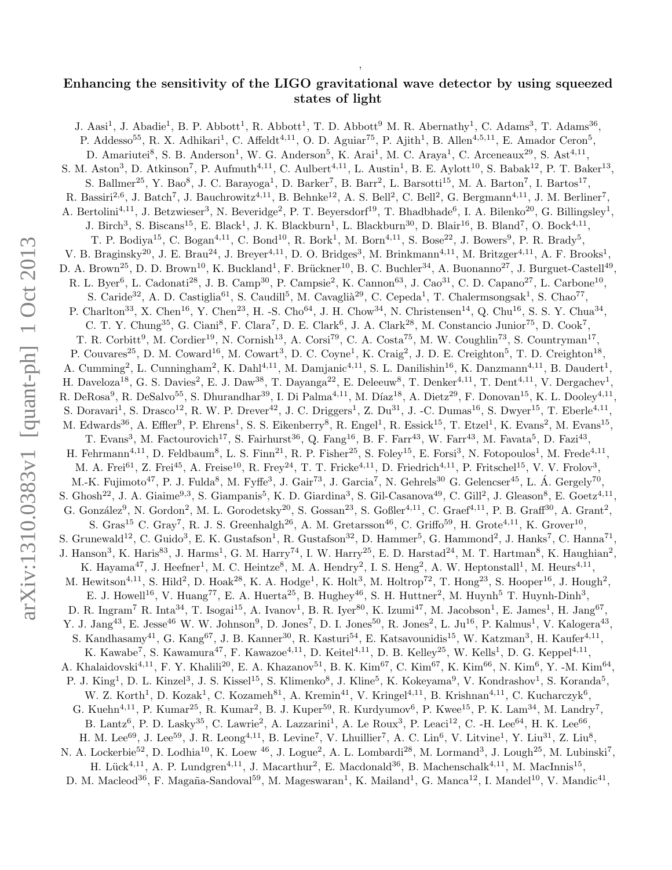# Enhancing the sensitivity of the LIGO gravitational wave detector by using squeezed states of light

,

J. Aasi<sup>1</sup>, J. Abadie<sup>1</sup>, B. P. Abbott<sup>1</sup>, R. Abbott<sup>1</sup>, T. D. Abbott<sup>9</sup> M. R. Abernathy<sup>1</sup>, C. Adams<sup>3</sup>, T. Adams<sup>36</sup>, P. Addesso<sup>55</sup>, R. X. Adhikari<sup>1</sup>, C. Affeldt<sup>4,11</sup>, O. D. Aguiar<sup>75</sup>, P. Ajith<sup>1</sup>, B. Allen<sup>4,5,11</sup>, E. Amador Ceron<sup>5</sup>, D. Amariutei<sup>8</sup>, S. B. Anderson<sup>1</sup>, W. G. Anderson<sup>5</sup>, K. Arai<sup>1</sup>, M. C. Araya<sup>1</sup>, C. Arceneaux<sup>29</sup>, S. Ast<sup>4,11</sup>, S. M. Aston<sup>3</sup>, D. Atkinson<sup>7</sup>, P. Aufmuth<sup>4,11</sup>, C. Aulbert<sup>4,11</sup>, L. Austin<sup>1</sup>, B. E. Aylott<sup>10</sup>, S. Babak<sup>12</sup>, P. T. Baker<sup>13</sup>, S. Ballmer<sup>25</sup>, Y. Bao<sup>8</sup>, J. C. Barayoga<sup>1</sup>, D. Barker<sup>7</sup>, B. Barr<sup>2</sup>, L. Barsotti<sup>15</sup>, M. A. Barton<sup>7</sup>, I. Bartos<sup>17</sup>, R. Bassiri<sup>2,6</sup>, J. Batch<sup>7</sup>, J. Bauchrowitz<sup>4,11</sup>, B. Behnke<sup>12</sup>, A. S. Bell<sup>2</sup>, C. Bell<sup>2</sup>, G. Bergmann<sup>4,11</sup>, J. M. Berliner<sup>7</sup>, A. Bertolini<sup>4,11</sup>, J. Betzwieser<sup>3</sup>, N. Beveridge<sup>2</sup>, P. T. Beyersdorf<sup>19</sup>, T. Bhadbhade<sup>6</sup>, I. A. Bilenko<sup>20</sup>, G. Billingsley<sup>1</sup>, J. Birch<sup>3</sup>, S. Biscans<sup>15</sup>, E. Black<sup>1</sup>, J. K. Blackburn<sup>1</sup>, L. Blackburn<sup>30</sup>, D. Blair<sup>16</sup>, B. Bland<sup>7</sup>, O. Bock<sup>4,11</sup>, T. P. Bodiya<sup>15</sup>, C. Bogan<sup>4,11</sup>, C. Bond<sup>10</sup>, R. Bork<sup>1</sup>, M. Born<sup>4,11</sup>, S. Bose<sup>22</sup>, J. Bowers<sup>9</sup>, P. R. Brady<sup>5</sup>, V. B. Braginsky<sup>20</sup>, J. E. Brau<sup>24</sup>, J. Breyer<sup>4,11</sup>, D. O. Bridges<sup>3</sup>, M. Brinkmann<sup>4,11</sup>, M. Britzger<sup>4,11</sup>, A. F. Brooks<sup>1</sup>, D. A. Brown<sup>25</sup>, D. D. Brown<sup>10</sup>, K. Buckland<sup>1</sup>, F. Brückner<sup>10</sup>, B. C. Buchler<sup>34</sup>, A. Buonanno<sup>27</sup>, J. Burguet-Castell<sup>49</sup>, R. L. Byer<sup>6</sup>, L. Cadonati<sup>28</sup>, J. B. Camp<sup>30</sup>, P. Campsie<sup>2</sup>, K. Cannon<sup>63</sup>, J. Cao<sup>31</sup>, C. D. Capano<sup>27</sup>, L. Carbone<sup>10</sup>, S. Caride<sup>32</sup>, A. D. Castiglia<sup>61</sup>, S. Caudill<sup>5</sup>, M. Cavaglià<sup>29</sup>, C. Cepeda<sup>1</sup>, T. Chalermsongsak<sup>1</sup>, S. Chao<sup>77</sup>, P. Charlton<sup>33</sup>, X. Chen<sup>16</sup>, Y. Chen<sup>23</sup>, H. -S. Cho<sup>64</sup>, J. H. Chow<sup>34</sup>, N. Christensen<sup>14</sup>, Q. Chu<sup>16</sup>, S. S. Y. Chua<sup>34</sup>, C. T. Y. Chung<sup>35</sup>, G. Ciani<sup>8</sup>, F. Clara<sup>7</sup>, D. E. Clark<sup>6</sup>, J. A. Clark<sup>28</sup>, M. Constancio Junior<sup>75</sup>, D. Cook<sup>7</sup>, T. R. Corbitt<sup>9</sup>, M. Cordier<sup>19</sup>, N. Cornish<sup>13</sup>, A. Corsi<sup>79</sup>, C. A. Costa<sup>75</sup>, M. W. Coughlin<sup>73</sup>, S. Countryman<sup>17</sup>, P. Couvares<sup>25</sup>, D. M. Coward<sup>16</sup>, M. Cowart<sup>3</sup>, D. C. Coyne<sup>1</sup>, K. Craig<sup>2</sup>, J. D. E. Creighton<sup>5</sup>, T. D. Creighton<sup>18</sup>, A. Cumming<sup>2</sup>, L. Cunningham<sup>2</sup>, K. Dahl<sup>4,11</sup>, M. Damjanic<sup>4,11</sup>, S. L. Danilishin<sup>16</sup>, K. Danzmann<sup>4,11</sup>, B. Daudert<sup>1</sup>, H. Daveloza<sup>18</sup>, G. S. Davies<sup>2</sup>, E. J. Daw<sup>38</sup>, T. Dayanga<sup>22</sup>, E. Deleeuw<sup>8</sup>, T. Denker<sup>4,11</sup>, T. Dent<sup>4,11</sup>, V. Dergachev<sup>1</sup> , R. DeRosa<sup>9</sup>, R. DeSalvo<sup>55</sup>, S. Dhurandhar<sup>39</sup>, I. Di Palma<sup>4,11</sup>, M. Díaz<sup>18</sup>, A. Dietz<sup>29</sup>, F. Donovan<sup>15</sup>, K. L. Dooley<sup>4,11</sup> , S. Doravari<sup>1</sup>, S. Drasco<sup>12</sup>, R. W. P. Drever<sup>42</sup>, J. C. Driggers<sup>1</sup>, Z. Du<sup>31</sup>, J. -C. Dumas<sup>16</sup>, S. Dwyer<sup>15</sup>, T. Eberle<sup>4,11</sup>, M. Edwards<sup>36</sup>, A. Effler<sup>9</sup>, P. Ehrens<sup>1</sup>, S. S. Eikenberry<sup>8</sup>, R. Engel<sup>1</sup>, R. Essick<sup>15</sup>, T. Etzel<sup>1</sup>, K. Evans<sup>2</sup>, M. Evans<sup>15</sup>, T. Evans<sup>3</sup>, M. Factourovich<sup>17</sup>, S. Fairhurst<sup>36</sup>, Q. Fang<sup>16</sup>, B. F. Farr<sup>43</sup>, W. Farr<sup>43</sup>, M. Favata<sup>5</sup>, D. Fazi<sup>43</sup>, H. Fehrmann<sup>4,11</sup>, D. Feldbaum<sup>8</sup>, L. S. Finn<sup>21</sup>, R. P. Fisher<sup>25</sup>, S. Foley<sup>15</sup>, E. Forsi<sup>3</sup>, N. Fotopoulos<sup>1</sup>, M. Frede<sup>4,11</sup>, M. A. Frei<sup>61</sup>, Z. Frei<sup>45</sup>, A. Freise<sup>10</sup>, R. Frey<sup>24</sup>, T. T. Fricke<sup>4,11</sup>, D. Friedrich<sup>4,11</sup>, P. Fritschel<sup>15</sup>, V. V. Frolov<sup>3</sup>, M.-K. Fujimoto<sup>47</sup>, P. J. Fulda<sup>8</sup>, M. Fyffe<sup>3</sup>, J. Gair<sup>73</sup>, J. Garcia<sup>7</sup>, N. Gehrels<sup>30</sup> G. Gelencser<sup>45</sup>, L. Á. Gergely<sup>70</sup>, S. Ghosh<sup>22</sup>, J. A. Giaime<sup>9,3</sup>, S. Giampanis<sup>5</sup>, K. D. Giardina<sup>3</sup>, S. Gil-Casanova<sup>49</sup>, C. Gill<sup>2</sup>, J. Gleason<sup>8</sup>, E. Goetz<sup>4,11</sup>, G. González<sup>9</sup>, N. Gordon<sup>2</sup>, M. L. Gorodetsky<sup>20</sup>, S. Gossan<sup>23</sup>, S. Goßler<sup>4,11</sup>, C. Graef<sup>4,11</sup>, P. B. Graff<sup>30</sup>, A. Grant<sup>2</sup>, S. Gras<sup>15</sup> C. Gray<sup>7</sup>, R. J. S. Greenhalgh<sup>26</sup>, A. M. Gretarsson<sup>46</sup>, C. Griffo<sup>59</sup>, H. Grote<sup>4,11</sup>, K. Grover<sup>10</sup>, S. Grunewald<sup>12</sup>, C. Guido<sup>3</sup>, E. K. Gustafson<sup>1</sup>, R. Gustafson<sup>32</sup>, D. Hammer<sup>5</sup>, G. Hammond<sup>2</sup>, J. Hanks<sup>7</sup>, C. Hanna<sup>71</sup>, J. Hanson<sup>3</sup>, K. Haris<sup>83</sup>, J. Harms<sup>1</sup>, G. M. Harry<sup>74</sup>, I. W. Harry<sup>25</sup>, E. D. Harstad<sup>24</sup>, M. T. Hartman<sup>8</sup>, K. Haughian<sup>2</sup>, K. Hayama<sup>47</sup>, J. Heefner<sup>1</sup>, M. C. Heintze<sup>8</sup>, M. A. Hendry<sup>2</sup>, I. S. Heng<sup>2</sup>, A. W. Heptonstall<sup>1</sup>, M. Heurs<sup>4,11</sup>, M. Hewitson<sup>4,11</sup>, S. Hild<sup>2</sup>, D. Hoak<sup>28</sup>, K. A. Hodge<sup>1</sup>, K. Holt<sup>3</sup>, M. Holtrop<sup>72</sup>, T. Hong<sup>23</sup>, S. Hooper<sup>16</sup>, J. Hough<sup>2</sup>, E. J. Howell<sup>16</sup>, V. Huang<sup>77</sup>, E. A. Huerta<sup>25</sup>, B. Hughey<sup>46</sup>, S. H. Huttner<sup>2</sup>, M. Huynh<sup>5</sup> T. Huynh-Dinh<sup>3</sup>, D. R. Ingram<sup>7</sup> R. Inta<sup>34</sup>, T. Isogai<sup>15</sup>, A. Ivanov<sup>1</sup>, B. R. Iyer<sup>80</sup>, K. Izumi<sup>47</sup>, M. Jacobson<sup>1</sup>, E. James<sup>1</sup>, H. Jang<sup>67</sup> , Y. J. Jang<sup>43</sup>, E. Jesse<sup>46</sup> W. W. Johnson<sup>9</sup>, D. Jones<sup>7</sup>, D. I. Jones<sup>50</sup>, R. Jones<sup>2</sup>, L. Ju<sup>16</sup>, P. Kalmus<sup>1</sup>, V. Kalogera<sup>43</sup>, S. Kandhasamy<sup>41</sup>, G. Kang<sup>67</sup>, J. B. Kanner<sup>30</sup>, R. Kasturi<sup>54</sup>, E. Katsavounidis<sup>15</sup>, W. Katzman<sup>3</sup>, H. Kaufer<sup>4,11</sup>, K. Kawabe<sup>7</sup>, S. Kawamura<sup>47</sup>, F. Kawazoe<sup>4,11</sup>, D. Keitel<sup>4,11</sup>, D. B. Kelley<sup>25</sup>, W. Kells<sup>1</sup>, D. G. Keppel<sup>4,11</sup>, A. Khalaidovski<sup>4,11</sup>, F. Y. Khalili<sup>20</sup>, E. A. Khazanov<sup>51</sup>, B. K. Kim<sup>67</sup>, C. Kim<sup>67</sup>, K. Kim<sup>66</sup>, N. Kim<sup>6</sup>, Y. -M. Kim<sup>64</sup>, P. J. King<sup>1</sup>, D. L. Kinzel<sup>3</sup>, J. S. Kissel<sup>15</sup>, S. Klimenko<sup>8</sup>, J. Kline<sup>5</sup>, K. Kokeyama<sup>9</sup>, V. Kondrashov<sup>1</sup>, S. Koranda<sup>5</sup>, W. Z. Korth<sup>1</sup>, D. Kozak<sup>1</sup>, C. Kozameh<sup>81</sup>, A. Kremin<sup>41</sup>, V. Kringel<sup>4,11</sup>, B. Krishnan<sup>4,11</sup>, C. Kucharczyk<sup>6</sup>, G. Kuehn<sup>4,11</sup>, P. Kumar<sup>25</sup>, R. Kumar<sup>2</sup>, B. J. Kuper<sup>59</sup>, R. Kurdyumov<sup>6</sup>, P. Kwee<sup>15</sup>, P. K. Lam<sup>34</sup>, M. Landry<sup>7</sup>, B. Lantz<sup>6</sup>, P. D. Lasky<sup>35</sup>, C. Lawrie<sup>2</sup>, A. Lazzarini<sup>1</sup>, A. Le Roux<sup>3</sup>, P. Leaci<sup>12</sup>, C. -H. Lee<sup>64</sup>, H. K. Lee<sup>66</sup>, H. M. Lee<sup>69</sup>, J. Lee<sup>59</sup>, J. R. Leong<sup>4,11</sup>, B. Levine<sup>7</sup>, V. Lhuillier<sup>7</sup>, A. C. Lin<sup>6</sup>, V. Litvine<sup>1</sup>, Y. Liu<sup>31</sup>, Z. Liu<sup>8</sup>, N. A. Lockerbie<sup>52</sup>, D. Lodhia<sup>10</sup>, K. Loew <sup>46</sup>, J. Logue<sup>2</sup>, A. L. Lombardi<sup>28</sup>, M. Lormand<sup>3</sup>, J. Lough<sup>25</sup>, M. Lubinski<sup>7</sup>, H. Lück<sup>4,11</sup>, A. P. Lundgren<sup>4,11</sup>, J. Macarthur<sup>2</sup>, E. Macdonald<sup>36</sup>, B. Machenschalk<sup>4,11</sup>, M. MacInnis<sup>15</sup>, D. M. Macleod<sup>36</sup>, F. Magaña-Sandoval<sup>59</sup>, M. Mageswaran<sup>1</sup>, K. Mailand<sup>1</sup>, G. Manca<sup>12</sup>, I. Mandel<sup>10</sup>, V. Mandic<sup>41</sup>,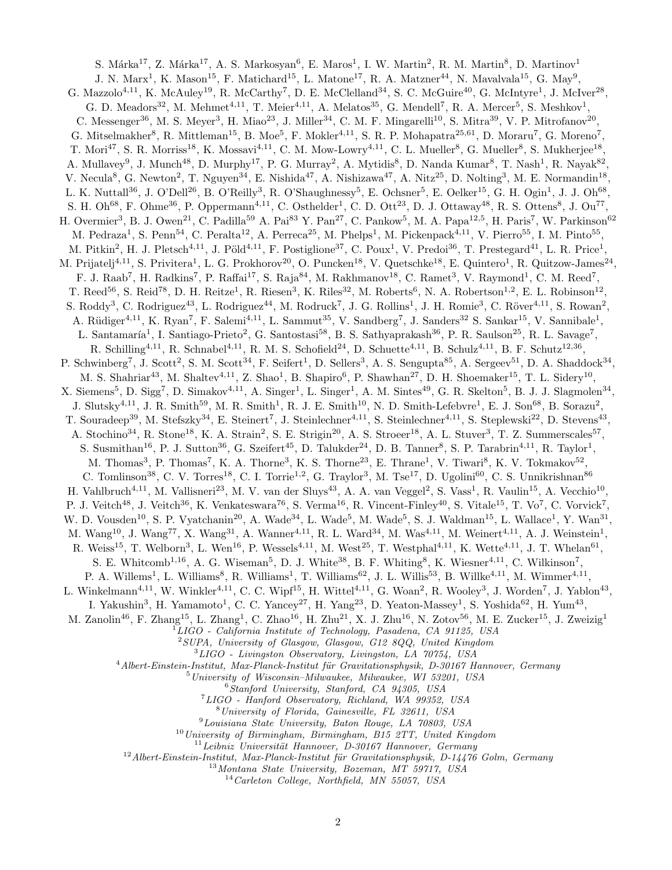S. Márka<sup>17</sup>, Z. Márka<sup>17</sup>, A. S. Markosyan<sup>6</sup>, E. Maros<sup>1</sup>, I. W. Martin<sup>2</sup>, R. M. Martin<sup>8</sup>, D. Martinov<sup>1</sup> J. N. Marx<sup>1</sup>, K. Mason<sup>15</sup>, F. Matichard<sup>15</sup>, L. Matone<sup>17</sup>, R. A. Matzner<sup>44</sup>, N. Mavalvala<sup>15</sup>, G. May<sup>9</sup>, G. Mazzolo<sup>4,11</sup>, K. McAuley<sup>19</sup>, R. McCarthy<sup>7</sup>, D. E. McClelland<sup>34</sup>, S. C. McGuire<sup>40</sup>, G. McIntyre<sup>1</sup>, J. McIver<sup>28</sup>, G. D. Meadors<sup>32</sup>, M. Mehmet<sup>4,11</sup>, T. Meier<sup>4,11</sup>, A. Melatos<sup>35</sup>, G. Mendell<sup>7</sup>, R. A. Mercer<sup>5</sup>, S. Meshkov<sup>1</sup>, C. Messenger<sup>36</sup>, M. S. Meyer<sup>3</sup>, H. Miao<sup>23</sup>, J. Miller<sup>34</sup>, C. M. F. Mingarelli<sup>10</sup>, S. Mitra<sup>39</sup>, V. P. Mitrofanov<sup>20</sup>, G. Mitselmakher<sup>8</sup>, R. Mittleman<sup>15</sup>, B. Moe<sup>5</sup>, F. Mokler<sup>4,11</sup>, S. R. P. Mohapatra<sup>25,61</sup>, D. Moraru<sup>7</sup>, G. Moreno<sup>7</sup>, T. Mori<sup>47</sup>, S. R. Morriss<sup>18</sup>, K. Mossavi<sup>4,11</sup>, C. M. Mow-Lowry<sup>4,11</sup>, C. L. Mueller<sup>8</sup>, G. Mueller<sup>8</sup>, S. Mukherjee<sup>18</sup>, A. Mullavey<sup>9</sup>, J. Munch<sup>48</sup>, D. Murphy<sup>17</sup>, P. G. Murray<sup>2</sup>, A. Mytidis<sup>8</sup>, D. Nanda Kumar<sup>8</sup>, T. Nash<sup>1</sup>, R. Nayak<sup>82</sup>, V. Necula<sup>8</sup>, G. Newton<sup>2</sup>, T. Nguyen<sup>34</sup>, E. Nishida<sup>47</sup>, A. Nishizawa<sup>47</sup>, A. Nitz<sup>25</sup>, D. Nolting<sup>3</sup>, M. E. Normandin<sup>18</sup>, L. K. Nuttall<sup>36</sup>, J. O'Dell<sup>26</sup>, B. O'Reilly<sup>3</sup>, R. O'Shaughnessy<sup>5</sup>, E. Ochsner<sup>5</sup>, E. Oelker<sup>15</sup>, G. H. Ogin<sup>1</sup>, J. J. Oh<sup>68</sup>, S. H. Oh<sup>68</sup>, F. Ohme<sup>36</sup>, P. Oppermann<sup>4,11</sup>, C. Osthelder<sup>1</sup>, C. D. Ott<sup>23</sup>, D. J. Ottaway<sup>48</sup>, R. S. Ottens<sup>8</sup>, J. Ou<sup>77</sup>, H. Overmier<sup>3</sup>, B. J. Owen<sup>21</sup>, C. Padilla<sup>59</sup> A. Pai<sup>83</sup> Y. Pan<sup>27</sup>, C. Pankow<sup>5</sup>, M. A. Papa<sup>12,5</sup>, H. Paris<sup>7</sup>, W. Parkinson<sup>62</sup> M. Pedraza<sup>1</sup>, S. Penn<sup>54</sup>, C. Peralta<sup>12</sup>, A. Perreca<sup>25</sup>, M. Phelps<sup>1</sup>, M. Pickenpack<sup>4,11</sup>, V. Pierro<sup>55</sup>, I. M. Pinto<sup>55</sup>, M. Pitkin<sup>2</sup>, H. J. Pletsch<sup>4,11</sup>, J. Pöld<sup>4,11</sup>, F. Postiglione<sup>37</sup>, C. Poux<sup>1</sup>, V. Predoi<sup>36</sup>, T. Prestegard<sup>41</sup>, L. R. Price<sup>1</sup>, M. Prijatelj<sup>4,11</sup>, S. Privitera<sup>1</sup>, L. G. Prokhorov<sup>20</sup>, O. Puncken<sup>18</sup>, V. Quetschke<sup>18</sup>, E. Quintero<sup>1</sup>, R. Quitzow-James<sup>24</sup>, F. J. Raab<sup>7</sup>, H. Radkins<sup>7</sup>, P. Raffai<sup>17</sup>, S. Raja<sup>84</sup>, M. Rakhmanov<sup>18</sup>, C. Ramet<sup>3</sup>, V. Raymond<sup>1</sup>, C. M. Reed<sup>7</sup>, T. Reed<sup>56</sup>, S. Reid<sup>78</sup>, D. H. Reitze<sup>1</sup>, R. Riesen<sup>3</sup>, K. Riles<sup>32</sup>, M. Roberts<sup>6</sup>, N. A. Robertson<sup>1,2</sup>, E. L. Robinson<sup>12</sup>, S. Roddy<sup>3</sup>, C. Rodriguez<sup>43</sup>, L. Rodriguez<sup>44</sup>, M. Rodruck<sup>7</sup>, J. G. Rollins<sup>1</sup>, J. H. Romie<sup>3</sup>, C. Röver<sup>4,11</sup>, S. Rowan<sup>2</sup>, A. Rüdiger<sup>4,11</sup>, K. Ryan<sup>7</sup>, F. Salemi<sup>4,11</sup>, L. Sammut<sup>35</sup>, V. Sandberg<sup>7</sup>, J. Sanders<sup>32</sup> S. Sankar<sup>15</sup>, V. Sannibale<sup>1</sup>, L. Santamaría<sup>1</sup>, I. Santiago-Prieto<sup>2</sup>, G. Santostasi<sup>58</sup>, B. S. Sathyaprakash<sup>36</sup>, P. R. Saulson<sup>25</sup>, R. L. Savage<sup>7</sup>, R. Schilling<sup>4,11</sup>, R. Schnabel<sup>4,11</sup>, R. M. S. Schofield<sup>24</sup>, D. Schuette<sup>4,11</sup>, B. Schulz<sup>4,11</sup>, B. F. Schutz<sup>12,36</sup>, P. Schwinberg<sup>7</sup>, J. Scott<sup>2</sup>, S. M. Scott<sup>34</sup>, F. Seifert<sup>1</sup>, D. Sellers<sup>3</sup>, A. S. Sengupta<sup>85</sup>, A. Sergeev<sup>51</sup>, D. A. Shaddock<sup>34</sup>, M. S. Shahriar<sup>43</sup>, M. Shaltev<sup>4,11</sup>, Z. Shao<sup>1</sup>, B. Shapiro<sup>6</sup>, P. Shawhan<sup>27</sup>, D. H. Shoemaker<sup>15</sup>, T. L. Sidery<sup>10</sup>, X. Siemens<sup>5</sup>, D. Sigg<sup>7</sup>, D. Simakov<sup>4,11</sup>, A. Singer<sup>1</sup>, L. Singer<sup>1</sup>, A. M. Sintes<sup>49</sup>, G. R. Skelton<sup>5</sup>, B. J. J. Slagmolen<sup>34</sup>, J. Slutsky<sup>4,11</sup>, J. R. Smith<sup>59</sup>, M. R. Smith<sup>1</sup>, R. J. E. Smith<sup>10</sup>, N. D. Smith-Lefebvre<sup>1</sup>, E. J. Son<sup>68</sup>, B. Sorazu<sup>2</sup>, T. Souradeep<sup>39</sup>, M. Stefszky<sup>34</sup>, E. Steinert<sup>7</sup>, J. Steinlechner<sup>4,11</sup>, S. Steinlechner<sup>4,11</sup>, S. Steplewski<sup>22</sup>, D. Stevens<sup>43</sup>, A. Stochino<sup>34</sup>, R. Stone<sup>18</sup>, K. A. Strain<sup>2</sup>, S. E. Strigin<sup>20</sup>, A. S. Stroeer<sup>18</sup>, A. L. Stuver<sup>3</sup>, T. Z. Summerscales<sup>57</sup>, S. Susmithan<sup>16</sup>, P. J. Sutton<sup>36</sup>, G. Szeifert<sup>45</sup>, D. Talukder<sup>24</sup>, D. B. Tanner<sup>8</sup>, S. P. Tarabrin<sup>4,11</sup>, R. Taylor<sup>1</sup>, M. Thomas<sup>3</sup>, P. Thomas<sup>7</sup>, K. A. Thorne<sup>3</sup>, K. S. Thorne<sup>23</sup>, E. Thrane<sup>1</sup>, V. Tiwari<sup>8</sup>, K. V. Tokmakov<sup>52</sup>, C. Tomlinson<sup>38</sup>, C. V. Torres<sup>18</sup>, C. I. Torrie<sup>1,2</sup>, G. Traylor<sup>3</sup>, M. Tse<sup>17</sup>, D. Ugolini<sup>60</sup>, C. S. Unnikrishnan<sup>86</sup> H. Vahlbruch<sup>4,11</sup>, M. Vallisneri<sup>23</sup>, M. V. van der Sluys<sup>43</sup>, A. A. van Veggel<sup>2</sup>, S. Vass<sup>1</sup>, R. Vaulin<sup>15</sup>, A. Vecchio<sup>10</sup>, P. J. Veitch<sup>48</sup>, J. Veitch<sup>36</sup>, K. Venkateswara<sup>76</sup>, S. Verma<sup>16</sup>, R. Vincent-Finley<sup>40</sup>, S. Vitale<sup>15</sup>, T. Vo<sup>7</sup>, C. Vorvick<sup>7</sup>, W. D. Vousden<sup>10</sup>, S. P. Vyatchanin<sup>20</sup>, A. Wade<sup>34</sup>, L. Wade<sup>5</sup>, M. Wade<sup>5</sup>, S. J. Waldman<sup>15</sup>, L. Wallace<sup>1</sup>, Y. Wan<sup>31</sup>, M. Wang<sup>10</sup>, J. Wang<sup>77</sup>, X. Wang<sup>31</sup>, A. Wanner<sup>4,11</sup>, R. L. Ward<sup>34</sup>, M. Was<sup>4,11</sup>, M. Weinert<sup>4,11</sup>, A. J. Weinstein<sup>1</sup>, R. Weiss<sup>15</sup>, T. Welborn<sup>3</sup>, L. Wen<sup>16</sup>, P. Wessels<sup>4,11</sup>, M. West<sup>25</sup>, T. Westphal<sup>4,11</sup>, K. Wette<sup>4,11</sup>, J. T. Whelan<sup>61</sup>, S. E. Whitcomb<sup>1,16</sup>, A. G. Wiseman<sup>5</sup>, D. J. White<sup>38</sup>, B. F. Whiting<sup>8</sup>, K. Wiesner<sup>4,11</sup>, C. Wilkinson<sup>7</sup>, P. A. Willems<sup>1</sup>, L. Williams<sup>8</sup>, R. Williams<sup>1</sup>, T. Williams<sup>62</sup>, J. L. Willis<sup>53</sup>, B. Willke<sup>4,11</sup>, M. Wimmer<sup>4,11</sup>, L. Winkelmann<sup>4,11</sup>, W. Winkler<sup>4,11</sup>, C. C. Wipf<sup>15</sup>, H. Wittel<sup>4,11</sup>, G. Woan<sup>2</sup>, R. Wooley<sup>3</sup>, J. Worden<sup>7</sup>, J. Yablon<sup>43</sup>, I. Yakushin<sup>3</sup>, H. Yamamoto<sup>1</sup>, C. C. Yancey<sup>27</sup>, H. Yang<sup>23</sup>, D. Yeaton-Massey<sup>1</sup>, S. Yoshida<sup>62</sup>, H. Yum<sup>43</sup>, M. Zanolin<sup>46</sup>, F. Zhang<sup>15</sup>, L. Zhang<sup>1</sup>, C. Zhao<sup>16</sup>, H. Zhu<sup>21</sup>, X. J. Zhu<sup>16</sup>, N. Zotov<sup>56</sup>, M. E. Zucker<sup>15</sup>, J. Zweizig<sup>1</sup>  ${}^{1}LIGO$  - California Institute of Technology, Pasadena, CA 91125, USA  $2$ SUPA, University of Glasgow, Glasgow, G12 8QQ, United Kingdom <sup>3</sup>LIGO - Livingston Observatory, Livingston, LA 70754, USA  $4$ Albert-Einstein-Institut, Max-Planck-Institut für Gravitationsphysik, D-30167 Hannover, Germany <sup>5</sup>University of Wisconsin–Milwaukee, Milwaukee, WI 53201, USA  $6$ Stanford University, Stanford, CA 94305, USA <sup>7</sup>LIGO - Hanford Observatory, Richland, WA 99352, USA <sup>8</sup>University of Florida, Gainesville, FL 32611, USA <sup>9</sup>Louisiana State University, Baton Rouge, LA 70803, USA  $10$ University of Birmingham, Birmingham, B15 2TT, United Kingdom  $11$ Leibniz Universität Hannover, D-30167 Hannover, Germany  $12$  Albert-Einstein-Institut, Max-Planck-Institut für Gravitationsphysik, D-14476 Golm, Germany <sup>13</sup>Montana State University, Bozeman, MT 59717, USA  $14$ Carleton College, Northfield, MN 55057, USA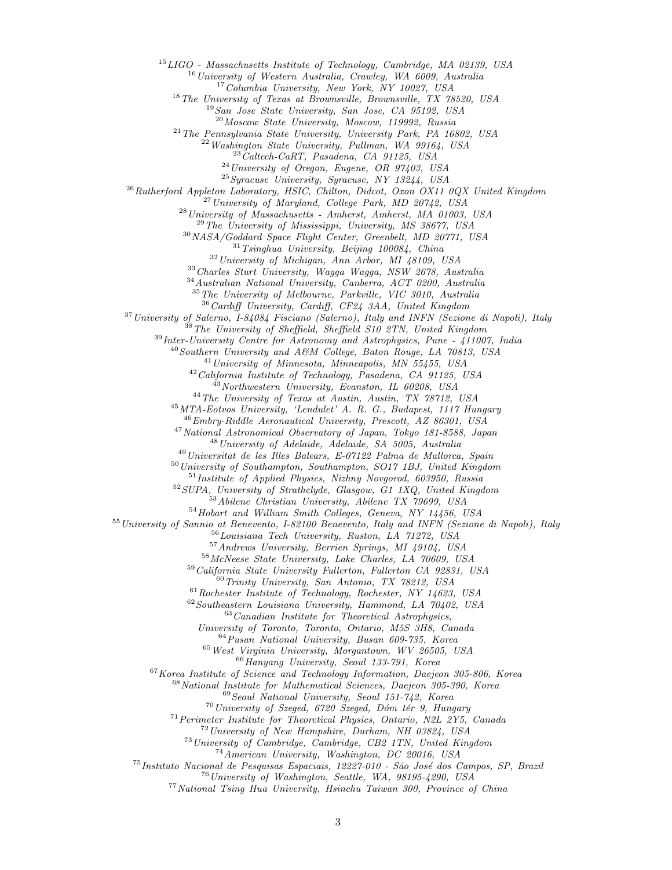LIGO - Massachusetts Institute of Technology, Cambridge, MA 02139, USA

<sup>16</sup>University of Western Australia, Crawley, WA 6009, Australia

<sup>17</sup>Columbia University, New York, NY 10027, USA

The University of Texas at Brownsville, Brownsville, TX 78520, USA

San Jose State University, San Jose, CA 95192, USA

<sup>20</sup>Moscow State University, Moscow, 119992, Russia

 $^{21}$ The Pennsylvania State University, University Park, PA 16802, USA

 $^{22}$  Washington State University, Pullman, WA 99164, USA

 $^{23}$ Caltech-CaRT, Pasadena, CA 91125, USA

University of Oregon, Eugene, OR 97403, USA

Syracuse University, Syracuse, NY 13244, USA

<sup>26</sup>Rutherford Appleton Laboratory, HSIC, Chilton, Didcot, Oxon OX11 0QX United Kingdom

University of Maryland, College Park, MD 20742, USA

University of Massachusetts - Amherst, Amherst, MA 01003, USA

 $^{29}$ The University of Mississippi, University, MS 38677, USA

NASA/Goddard Space Flight Center, Greenbelt, MD 20771, USA

Tsinghua University, Beijing 100084, China

University of Michigan, Ann Arbor, MI 48109, USA

Charles Sturt University, Wagga Wagga, NSW 2678, Australia

Australian National University, Canberra, ACT 0200, Australia

The University of Melbourne, Parkville, VIC 3010, Australia

Cardiff University, Cardiff, CF24 3AA, United Kingdom

<sup>37</sup> University of Salerno, I-84084 Fisciano (Salerno), Italy and INFN (Sezione di Napoli), Italy

<sup>38</sup>The University of Sheffield, Sheffield S10 2TN, United Kingdom

Inter-University Centre for Astronomy and Astrophysics, Pune - 411007, India

 $^{40}$ Southern University and A&M College, Baton Rouge, LA 70813, USA

 $^{41}$  University of Minnesota, Minneapolis, MN 55455, USA

California Institute of Technology, Pasadena, CA 91125, USA

 $^{43}$ Northwestern University, Evanston, IL 60208, USA

The University of Texas at Austin, Austin, TX 78712, USA

MTA-Eotvos University, 'Lendulet' A. R. G., Budapest, 1117 Hungary

 $^{46}Embry-Riddle$  Aeronautical University, Prescott, AZ 86301, USA

National Astronomical Observatory of Japan, Tokyo 181-8588, Japan

University of Adelaide, Adelaide, SA 5005, Australia

Universitat de les Illes Balears, E-07122 Palma de Mallorca, Spain

University of Southampton, Southampton, SO17 1BJ, United Kingdom

Institute of Applied Physics, Nizhny Novgorod, 603950, Russia

SUPA, University of Strathclyde, Glasgow, G1 1XQ, United Kingdom

Abilene Christian University, Abilene TX 79699, USA

Hobart and William Smith Colleges, Geneva, NY 14456, USA

<sup>55</sup> University of Sannio at Benevento, I-82100 Benevento, Italy and INFN (Sezione di Napoli), Italy

 ${}^{6}$ Louisiana Tech University, Ruston, LA  $71272$ , USA

Andrews University, Berrien Springs, MI 49104, USA

McNeese State University, Lake Charles, LA 70609, USA

California State University Fullerton, Fullerton CA 92831, USA

Trinity University, San Antonio, TX 78212, USA

Rochester Institute of Technology, Rochester, NY 14623, USA

Southeastern Louisiana University, Hammond, LA 70402, USA

Canadian Institute for Theoretical Astrophysics,

University of Toronto, Toronto, Ontario, M5S 3H8, Canada

Pusan National University, Busan 609-735, Korea

West Virginia University, Morgantown, WV 26505, USA

Hanyang University, Seoul 133-791, Korea

Korea Institute of Science and Technology Information, Daejeon 305-806, Korea

National Institute for Mathematical Sciences, Daejeon 305-390, Korea

Seoul National University, Seoul 151-742, Korea

University of Szeged, 6720 Szeged, Dóm tér 9, Hungary

Perimeter Institute for Theoretical Physics, Ontario, N2L 2Y5, Canada

University of New Hampshire, Durham, NH 03824, USA

University of Cambridge, Cambridge, CB2 1TN, United Kingdom

American University, Washington, DC 20016, USA

<sup>75</sup> Instituto Nacional de Pesquisas Espaciais, 12227-010 - São José dos Campos, SP, Brazil

 $^{76}$ University of Washington, Seattle, WA, 98195-4290, USA

National Tsing Hua University, Hsinchu Taiwan 300, Province of China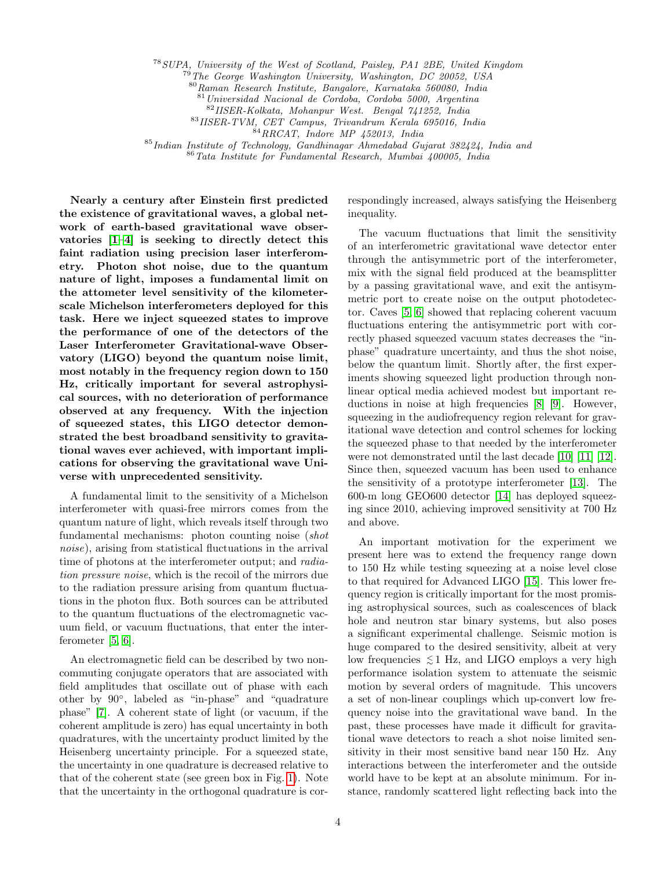<sup>78</sup>SUPA, University of the West of Scotland, Paisley, PA1 2BE, United Kingdom

<sup>79</sup>The George Washington University, Washington, DC 20052, USA

<sup>80</sup>Raman Research Institute, Bangalore, Karnataka 560080, India

<sup>81</sup>Universidad Nacional de Cordoba, Cordoba 5000, Argentina

 $^{82}\,$  IISER-Kolkata, Mohanpur West. Bengal 741252, India

<sup>83</sup>IISER-TVM, CET Campus, Trivandrum Kerala 695016, India

 $84$ RRCAT, Indore MP 452013, India

<sup>85</sup>Indian Institute of Technology, Gandhinagar Ahmedabad Gujarat 382424, India and

<sup>86</sup>Tata Institute for Fundamental Research, Mumbai 400005, India

Nearly a century after Einstein first predicted the existence of gravitational waves, a global network of earth-based gravitational wave observatories [\[1–](#page-10-0)[4\]](#page-10-1) is seeking to directly detect this faint radiation using precision laser interferometry. Photon shot noise, due to the quantum nature of light, imposes a fundamental limit on the attometer level sensitivity of the kilometerscale Michelson interferometers deployed for this task. Here we inject squeezed states to improve the performance of one of the detectors of the Laser Interferometer Gravitational-wave Observatory (LIGO) beyond the quantum noise limit, most notably in the frequency region down to 150 Hz, critically important for several astrophysical sources, with no deterioration of performance observed at any frequency. With the injection of squeezed states, this LIGO detector demonstrated the best broadband sensitivity to gravitational waves ever achieved, with important implications for observing the gravitational wave Universe with unprecedented sensitivity.

A fundamental limit to the sensitivity of a Michelson interferometer with quasi-free mirrors comes from the quantum nature of light, which reveals itself through two fundamental mechanisms: photon counting noise (shot noise), arising from statistical fluctuations in the arrival time of photons at the interferometer output; and *radia*tion pressure noise, which is the recoil of the mirrors due to the radiation pressure arising from quantum fluctuations in the photon flux. Both sources can be attributed to the quantum fluctuations of the electromagnetic vacuum field, or vacuum fluctuations, that enter the interferometer [\[5,](#page-10-2) [6\]](#page-10-3).

An electromagnetic field can be described by two noncommuting conjugate operators that are associated with field amplitudes that oscillate out of phase with each other by 90◦ , labeled as "in-phase" and "quadrature phase" [\[7\]](#page-10-4). A coherent state of light (or vacuum, if the coherent amplitude is zero) has equal uncertainty in both quadratures, with the uncertainty product limited by the Heisenberg uncertainty principle. For a squeezed state, the uncertainty in one quadrature is decreased relative to that of the coherent state (see green box in Fig. [1\)](#page-7-0). Note that the uncertainty in the orthogonal quadrature is cor-

respondingly increased, always satisfying the Heisenberg inequality.

The vacuum fluctuations that limit the sensitivity of an interferometric gravitational wave detector enter through the antisymmetric port of the interferometer, mix with the signal field produced at the beamsplitter by a passing gravitational wave, and exit the antisymmetric port to create noise on the output photodetector. Caves [\[5,](#page-10-2) [6\]](#page-10-3) showed that replacing coherent vacuum fluctuations entering the antisymmetric port with correctly phased squeezed vacuum states decreases the "inphase" quadrature uncertainty, and thus the shot noise, below the quantum limit. Shortly after, the first experiments showing squeezed light production through nonlinear optical media achieved modest but important reductions in noise at high frequencies [\[8\]](#page-10-5) [\[9\]](#page-10-6). However, squeezing in the audiofrequency region relevant for gravitational wave detection and control schemes for locking the squeezed phase to that needed by the interferometer were not demonstrated until the last decade [\[10\]](#page-10-7) [\[11\]](#page-10-8) [\[12\]](#page-10-9). Since then, squeezed vacuum has been used to enhance the sensitivity of a prototype interferometer [\[13\]](#page-10-10). The 600-m long GEO600 detector [\[14\]](#page-10-11) has deployed squeezing since 2010, achieving improved sensitivity at 700 Hz and above.

An important motivation for the experiment we present here was to extend the frequency range down to 150 Hz while testing squeezing at a noise level close to that required for Advanced LIGO [\[15\]](#page-10-12). This lower frequency region is critically important for the most promising astrophysical sources, such as coalescences of black hole and neutron star binary systems, but also poses a significant experimental challenge. Seismic motion is huge compared to the desired sensitivity, albeit at very low frequencies  $\leq 1$  Hz, and LIGO employs a very high performance isolation system to attenuate the seismic motion by several orders of magnitude. This uncovers a set of non-linear couplings which up-convert low frequency noise into the gravitational wave band. In the past, these processes have made it difficult for gravitational wave detectors to reach a shot noise limited sensitivity in their most sensitive band near 150 Hz. Any interactions between the interferometer and the outside world have to be kept at an absolute minimum. For instance, randomly scattered light reflecting back into the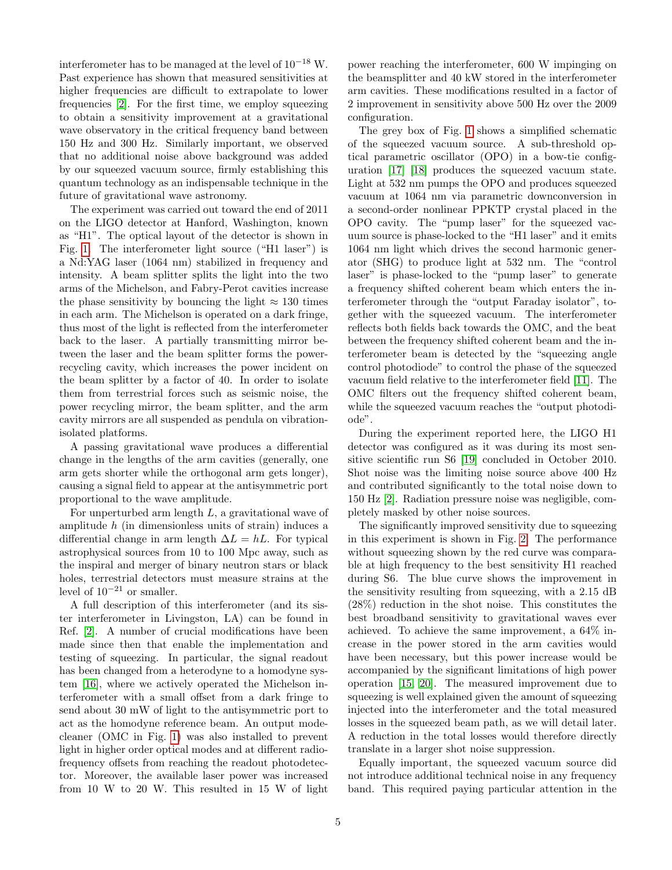interferometer has to be managed at the level of 10−<sup>18</sup> W. Past experience has shown that measured sensitivities at higher frequencies are difficult to extrapolate to lower frequencies [\[2\]](#page-10-13). For the first time, we employ squeezing to obtain a sensitivity improvement at a gravitational wave observatory in the critical frequency band between 150 Hz and 300 Hz. Similarly important, we observed that no additional noise above background was added by our squeezed vacuum source, firmly establishing this quantum technology as an indispensable technique in the future of gravitational wave astronomy.

The experiment was carried out toward the end of 2011 on the LIGO detector at Hanford, Washington, known as "H1". The optical layout of the detector is shown in Fig. [1.](#page-7-0) The interferometer light source ("H1 laser") is a Nd:YAG laser (1064 nm) stabilized in frequency and intensity. A beam splitter splits the light into the two arms of the Michelson, and Fabry-Perot cavities increase the phase sensitivity by bouncing the light  $\approx 130$  times in each arm. The Michelson is operated on a dark fringe, thus most of the light is reflected from the interferometer back to the laser. A partially transmitting mirror between the laser and the beam splitter forms the powerrecycling cavity, which increases the power incident on the beam splitter by a factor of 40. In order to isolate them from terrestrial forces such as seismic noise, the power recycling mirror, the beam splitter, and the arm cavity mirrors are all suspended as pendula on vibrationisolated platforms.

A passing gravitational wave produces a differential change in the lengths of the arm cavities (generally, one arm gets shorter while the orthogonal arm gets longer), causing a signal field to appear at the antisymmetric port proportional to the wave amplitude.

For unperturbed arm length L, a gravitational wave of amplitude  $h$  (in dimensionless units of strain) induces a differential change in arm length  $\Delta L = hL$ . For typical astrophysical sources from 10 to 100 Mpc away, such as the inspiral and merger of binary neutron stars or black holes, terrestrial detectors must measure strains at the level of  $10^{-21}$  or smaller.

A full description of this interferometer (and its sister interferometer in Livingston, LA) can be found in Ref. [\[2\]](#page-10-13). A number of crucial modifications have been made since then that enable the implementation and testing of squeezing. In particular, the signal readout has been changed from a heterodyne to a homodyne system [\[16\]](#page-10-14), where we actively operated the Michelson interferometer with a small offset from a dark fringe to send about 30 mW of light to the antisymmetric port to act as the homodyne reference beam. An output modecleaner (OMC in Fig. [1\)](#page-7-0) was also installed to prevent light in higher order optical modes and at different radiofrequency offsets from reaching the readout photodetector. Moreover, the available laser power was increased from 10 W to 20 W. This resulted in 15 W of light

power reaching the interferometer, 600 W impinging on the beamsplitter and 40 kW stored in the interferometer arm cavities. These modifications resulted in a factor of 2 improvement in sensitivity above 500 Hz over the 2009 configuration.

The grey box of Fig. [1](#page-7-0) shows a simplified schematic of the squeezed vacuum source. A sub-threshold optical parametric oscillator (OPO) in a bow-tie configuration [\[17\]](#page-10-15) [\[18\]](#page-10-16) produces the squeezed vacuum state. Light at 532 nm pumps the OPO and produces squeezed vacuum at 1064 nm via parametric downconversion in a second-order nonlinear PPKTP crystal placed in the OPO cavity. The "pump laser" for the squeezed vacuum source is phase-locked to the "H1 laser" and it emits 1064 nm light which drives the second harmonic generator (SHG) to produce light at 532 nm. The "control laser" is phase-locked to the "pump laser" to generate a frequency shifted coherent beam which enters the interferometer through the "output Faraday isolator", together with the squeezed vacuum. The interferometer reflects both fields back towards the OMC, and the beat between the frequency shifted coherent beam and the interferometer beam is detected by the "squeezing angle control photodiode" to control the phase of the squeezed vacuum field relative to the interferometer field [\[11\]](#page-10-8). The OMC filters out the frequency shifted coherent beam, while the squeezed vacuum reaches the "output photodiode".

During the experiment reported here, the LIGO H1 detector was configured as it was during its most sensitive scientific run S6 [\[19\]](#page-10-17) concluded in October 2010. Shot noise was the limiting noise source above 400 Hz and contributed significantly to the total noise down to 150 Hz [\[2\]](#page-10-13). Radiation pressure noise was negligible, completely masked by other noise sources.

The significantly improved sensitivity due to squeezing in this experiment is shown in Fig. [2.](#page-8-0) The performance without squeezing shown by the red curve was comparable at high frequency to the best sensitivity H1 reached during S6. The blue curve shows the improvement in the sensitivity resulting from squeezing, with a 2.15 dB (28%) reduction in the shot noise. This constitutes the best broadband sensitivity to gravitational waves ever achieved. To achieve the same improvement, a 64% increase in the power stored in the arm cavities would have been necessary, but this power increase would be accompanied by the significant limitations of high power operation [\[15,](#page-10-12) [20\]](#page-10-18). The measured improvement due to squeezing is well explained given the amount of squeezing injected into the interferometer and the total measured losses in the squeezed beam path, as we will detail later. A reduction in the total losses would therefore directly translate in a larger shot noise suppression.

Equally important, the squeezed vacuum source did not introduce additional technical noise in any frequency band. This required paying particular attention in the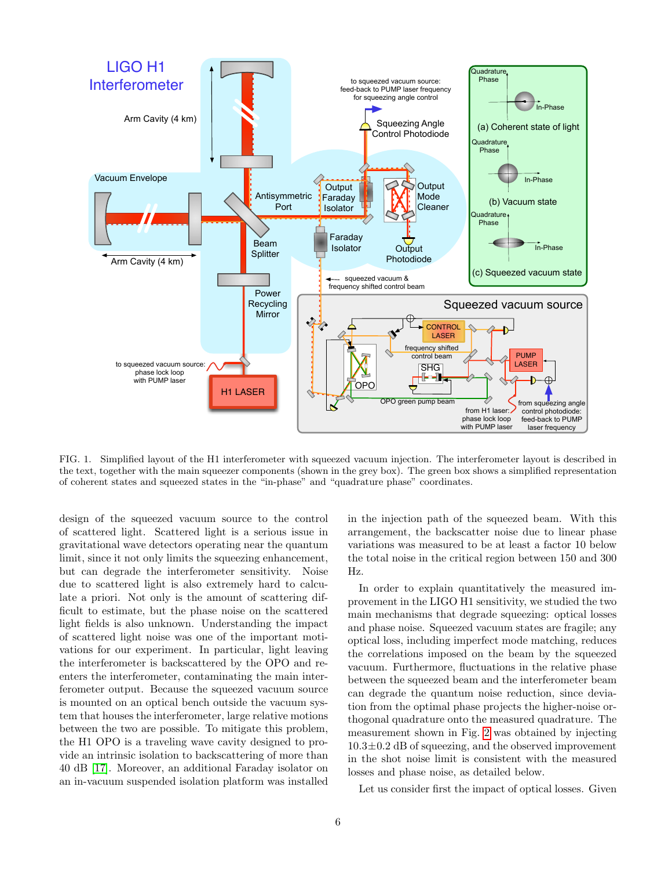

<span id="page-7-0"></span>FIG. 1. Simplified layout of the H1 interferometer with squeezed vacuum injection. The interferometer layout is described in the text, together with the main squeezer components (shown in the grey box). The green box shows a simplified representation of coherent states and squeezed states in the "in-phase" and "quadrature phase" coordinates.

design of the squeezed vacuum source to the control of scattered light. Scattered light is a serious issue in gravitational wave detectors operating near the quantum limit, since it not only limits the squeezing enhancement, but can degrade the interferometer sensitivity. Noise due to scattered light is also extremely hard to calculate a priori. Not only is the amount of scattering difficult to estimate, but the phase noise on the scattered light fields is also unknown. Understanding the impact of scattered light noise was one of the important motivations for our experiment. In particular, light leaving the interferometer is backscattered by the OPO and reenters the interferometer, contaminating the main interferometer output. Because the squeezed vacuum source is mounted on an optical bench outside the vacuum system that houses the interferometer, large relative motions between the two are possible. To mitigate this problem, the H1 OPO is a traveling wave cavity designed to provide an intrinsic isolation to backscattering of more than 40 dB [\[17\]](#page-10-15). Moreover, an additional Faraday isolator on an in-vacuum suspended isolation platform was installed in the injection path of the squeezed beam. With this arrangement, the backscatter noise due to linear phase variations was measured to be at least a factor 10 below the total noise in the critical region between 150 and 300 Hz.

In order to explain quantitatively the measured improvement in the LIGO H1 sensitivity, we studied the two main mechanisms that degrade squeezing: optical losses and phase noise. Squeezed vacuum states are fragile; any optical loss, including imperfect mode matching, reduces the correlations imposed on the beam by the squeezed vacuum. Furthermore, fluctuations in the relative phase between the squeezed beam and the interferometer beam can degrade the quantum noise reduction, since deviation from the optimal phase projects the higher-noise orthogonal quadrature onto the measured quadrature. The measurement shown in Fig. [2](#page-8-0) was obtained by injecting  $10.3\pm0.2$  dB of squeezing, and the observed improvement in the shot noise limit is consistent with the measured losses and phase noise, as detailed below.

Let us consider first the impact of optical losses. Given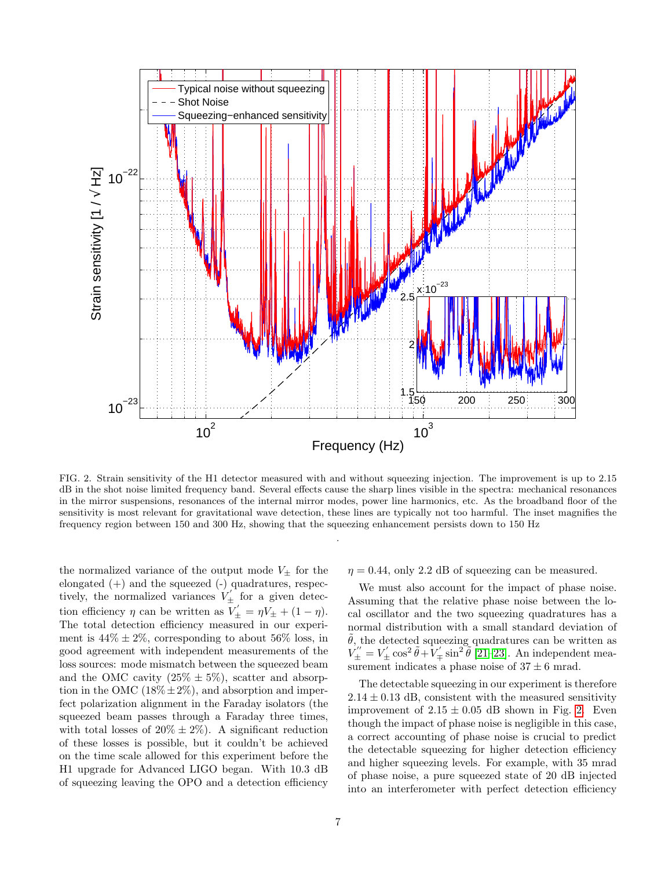

<span id="page-8-0"></span>FIG. 2. Strain sensitivity of the H1 detector measured with and without squeezing injection. The improvement is up to 2.15 dB in the shot noise limited frequency band. Several effects cause the sharp lines visible in the spectra: mechanical resonances in the mirror suspensions, resonances of the internal mirror modes, power line harmonics, etc. As the broadband floor of the sensitivity is most relevant for gravitational wave detection, these lines are typically not too harmful. The inset magnifies the frequency region between 150 and 300 Hz, showing that the squeezing enhancement persists down to 150 Hz

.

the normalized variance of the output mode  $V_{\pm}$  for the elongated (+) and the squeezed (-) quadratures, respectively, the normalized variances  $V'_\pm$  for a given detection efficiency  $\eta$  can be written as  $V'_{\pm} = \eta V_{\pm} + (1 - \eta)$ . The total detection efficiency measured in our experiment is  $44\% \pm 2\%$ , corresponding to about 56\% loss, in good agreement with independent measurements of the loss sources: mode mismatch between the squeezed beam and the OMC cavity  $(25\% \pm 5\%)$ , scatter and absorption in the OMC  $(18\% \pm 2\%)$ , and absorption and imperfect polarization alignment in the Faraday isolators (the squeezed beam passes through a Faraday three times, with total losses of  $20\% \pm 2\%$ ). A significant reduction of these losses is possible, but it couldn't be achieved on the time scale allowed for this experiment before the H1 upgrade for Advanced LIGO began. With 10.3 dB of squeezing leaving the OPO and a detection efficiency  $\eta = 0.44$ , only 2.2 dB of squeezing can be measured.

We must also account for the impact of phase noise. Assuming that the relative phase noise between the local oscillator and the two squeezing quadratures has a normal distribution with a small standard deviation of  $\theta$ , the detected squeezing quadratures can be written as  $\dot{V}''_{\pm} = V'_{\pm} \cos^2 \tilde{\theta} + V'_{\mp} \sin^2 \tilde{\theta}$  [\[21–](#page-10-19)[23\]](#page-10-20). An independent measurement indicates a phase noise of  $37 \pm 6$  mrad.

The detectable squeezing in our experiment is therefore  $2.14 \pm 0.13$  dB, consistent with the measured sensitivity improvement of  $2.15 \pm 0.05$  dB shown in Fig. [2.](#page-8-0) Even though the impact of phase noise is negligible in this case, a correct accounting of phase noise is crucial to predict the detectable squeezing for higher detection efficiency and higher squeezing levels. For example, with 35 mrad of phase noise, a pure squeezed state of 20 dB injected into an interferometer with perfect detection efficiency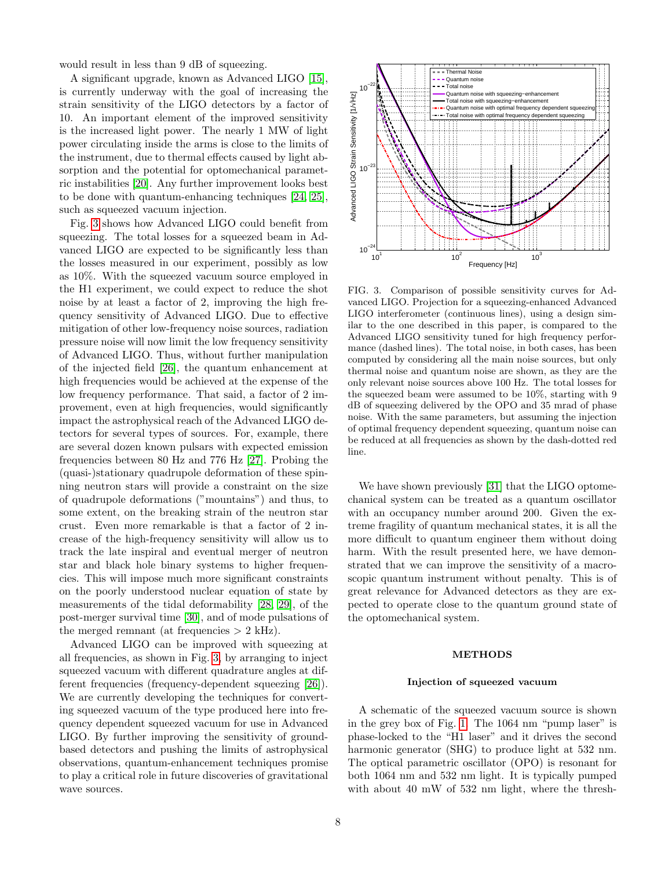would result in less than 9 dB of squeezing.

A significant upgrade, known as Advanced LIGO [\[15\]](#page-10-12), is currently underway with the goal of increasing the strain sensitivity of the LIGO detectors by a factor of 10. An important element of the improved sensitivity is the increased light power. The nearly 1 MW of light power circulating inside the arms is close to the limits of the instrument, due to thermal effects caused by light absorption and the potential for optomechanical parametric instabilities [\[20\]](#page-10-18). Any further improvement looks best to be done with quantum-enhancing techniques [\[24,](#page-10-21) [25\]](#page-10-22), such as squeezed vacuum injection.

Fig. [3](#page-9-0) shows how Advanced LIGO could benefit from squeezing. The total losses for a squeezed beam in Advanced LIGO are expected to be significantly less than the losses measured in our experiment, possibly as low as 10%. With the squeezed vacuum source employed in the H1 experiment, we could expect to reduce the shot noise by at least a factor of 2, improving the high frequency sensitivity of Advanced LIGO. Due to effective mitigation of other low-frequency noise sources, radiation pressure noise will now limit the low frequency sensitivity of Advanced LIGO. Thus, without further manipulation of the injected field [\[26\]](#page-10-23), the quantum enhancement at high frequencies would be achieved at the expense of the low frequency performance. That said, a factor of 2 improvement, even at high frequencies, would significantly impact the astrophysical reach of the Advanced LIGO detectors for several types of sources. For, example, there are several dozen known pulsars with expected emission frequencies between 80 Hz and 776 Hz [\[27\]](#page-11-0). Probing the (quasi-)stationary quadrupole deformation of these spinning neutron stars will provide a constraint on the size of quadrupole deformations ("mountains") and thus, to some extent, on the breaking strain of the neutron star crust. Even more remarkable is that a factor of 2 increase of the high-frequency sensitivity will allow us to track the late inspiral and eventual merger of neutron star and black hole binary systems to higher frequencies. This will impose much more significant constraints on the poorly understood nuclear equation of state by measurements of the tidal deformability [\[28,](#page-11-1) [29\]](#page-11-2), of the post-merger survival time [\[30\]](#page-11-3), and of mode pulsations of the merged remnant (at frequencies  $> 2$  kHz).

Advanced LIGO can be improved with squeezing at all frequencies, as shown in Fig. [3,](#page-9-0) by arranging to inject squeezed vacuum with different quadrature angles at different frequencies (frequency-dependent squeezing [\[26\]](#page-10-23)). We are currently developing the techniques for converting squeezed vacuum of the type produced here into frequency dependent squeezed vacuum for use in Advanced LIGO. By further improving the sensitivity of groundbased detectors and pushing the limits of astrophysical observations, quantum-enhancement techniques promise to play a critical role in future discoveries of gravitational wave sources.



<span id="page-9-0"></span>FIG. 3. Comparison of possible sensitivity curves for Advanced LIGO. Projection for a squeezing-enhanced Advanced LIGO interferometer (continuous lines), using a design similar to the one described in this paper, is compared to the Advanced LIGO sensitivity tuned for high frequency performance (dashed lines). The total noise, in both cases, has been computed by considering all the main noise sources, but only thermal noise and quantum noise are shown, as they are the only relevant noise sources above 100 Hz. The total losses for the squeezed beam were assumed to be 10%, starting with 9 dB of squeezing delivered by the OPO and 35 mrad of phase noise. With the same parameters, but assuming the injection of optimal frequency dependent squeezing, quantum noise can be reduced at all frequencies as shown by the dash-dotted red line.

We have shown previously [\[31\]](#page-11-4) that the LIGO optomechanical system can be treated as a quantum oscillator with an occupancy number around 200. Given the extreme fragility of quantum mechanical states, it is all the more difficult to quantum engineer them without doing harm. With the result presented here, we have demonstrated that we can improve the sensitivity of a macroscopic quantum instrument without penalty. This is of great relevance for Advanced detectors as they are expected to operate close to the quantum ground state of the optomechanical system.

#### METHODS

### Injection of squeezed vacuum

A schematic of the squeezed vacuum source is shown in the grey box of Fig. [1.](#page-7-0) The 1064 nm "pump laser" is phase-locked to the "H1 laser" and it drives the second harmonic generator (SHG) to produce light at 532 nm. The optical parametric oscillator (OPO) is resonant for both 1064 nm and 532 nm light. It is typically pumped with about 40 mW of 532 nm light, where the thresh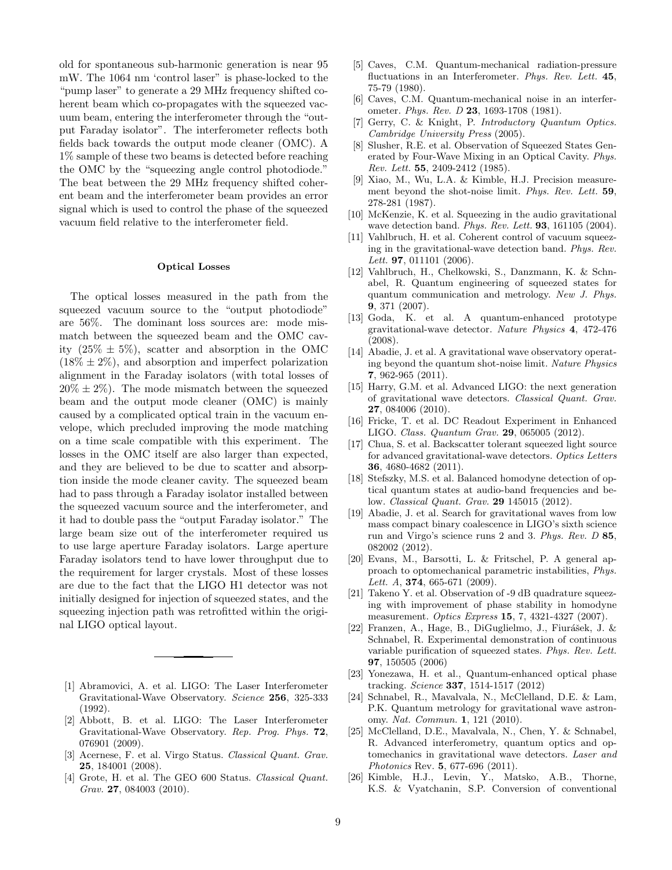old for spontaneous sub-harmonic generation is near 95 mW. The 1064 nm 'control laser" is phase-locked to the "pump laser" to generate a 29 MHz frequency shifted coherent beam which co-propagates with the squeezed vacuum beam, entering the interferometer through the "output Faraday isolator". The interferometer reflects both fields back towards the output mode cleaner (OMC). A 1% sample of these two beams is detected before reaching the OMC by the "squeezing angle control photodiode." The beat between the 29 MHz frequency shifted coherent beam and the interferometer beam provides an error signal which is used to control the phase of the squeezed vacuum field relative to the interferometer field.

## Optical Losses

The optical losses measured in the path from the squeezed vacuum source to the "output photodiode" are 56%. The dominant loss sources are: mode mismatch between the squeezed beam and the OMC cavity  $(25\% \pm 5\%)$ , scatter and absorption in the OMC  $(18\% \pm 2\%)$ , and absorption and imperfect polarization alignment in the Faraday isolators (with total losses of  $20\% \pm 2\%$ ). The mode mismatch between the squeezed beam and the output mode cleaner (OMC) is mainly caused by a complicated optical train in the vacuum envelope, which precluded improving the mode matching on a time scale compatible with this experiment. The losses in the OMC itself are also larger than expected, and they are believed to be due to scatter and absorption inside the mode cleaner cavity. The squeezed beam had to pass through a Faraday isolator installed between the squeezed vacuum source and the interferometer, and it had to double pass the "output Faraday isolator." The large beam size out of the interferometer required us to use large aperture Faraday isolators. Large aperture Faraday isolators tend to have lower throughput due to the requirement for larger crystals. Most of these losses are due to the fact that the LIGO H1 detector was not initially designed for injection of squeezed states, and the squeezing injection path was retrofitted within the original LIGO optical layout.

- <span id="page-10-0"></span>[1] Abramovici, A. et al. LIGO: The Laser Interferometer Gravitational-Wave Observatory. Science 256, 325-333 (1992).
- <span id="page-10-13"></span>[2] Abbott, B. et al. LIGO: The Laser Interferometer Gravitational-Wave Observatory. Rep. Prog. Phys. 72, 076901 (2009).
- [3] Acernese, F. et al. Virgo Status. Classical Quant. Grav. 25, 184001 (2008).
- <span id="page-10-1"></span>[4] Grote, H. et al. The GEO 600 Status. Classical Quant. Grav. 27, 084003 (2010).
- <span id="page-10-2"></span>[5] Caves, C.M. Quantum-mechanical radiation-pressure fluctuations in an Interferometer. Phys. Rev. Lett. 45, 75-79 (1980).
- <span id="page-10-3"></span>[6] Caves, C.M. Quantum-mechanical noise in an interferometer. Phys. Rev. D 23, 1693-1708 (1981).
- <span id="page-10-4"></span>[7] Gerry, C. & Knight, P. Introductory Quantum Optics. Cambridge University Press (2005).
- <span id="page-10-5"></span>[8] Slusher, R.E. et al. Observation of Squeezed States Generated by Four-Wave Mixing in an Optical Cavity. Phys. Rev. Lett. 55, 2409-2412 (1985).
- <span id="page-10-6"></span>[9] Xiao, M., Wu, L.A. & Kimble, H.J. Precision measurement beyond the shot-noise limit. Phys. Rev. Lett. 59, 278-281 (1987).
- <span id="page-10-7"></span>[10] McKenzie, K. et al. Squeezing in the audio gravitational wave detection band. Phys. Rev. Lett.  $93, 161105$  (2004).
- <span id="page-10-8"></span>[11] Vahlbruch, H. et al. Coherent control of vacuum squeezing in the gravitational-wave detection band. Phys. Rev. Lett. **97**, 011101 (2006).
- <span id="page-10-9"></span>[12] Vahlbruch, H., Chelkowski, S., Danzmann, K. & Schnabel, R. Quantum engineering of squeezed states for quantum communication and metrology. New J. Phys. 9, 371 (2007).
- <span id="page-10-10"></span>[13] Goda, K. et al. A quantum-enhanced prototype gravitational-wave detector. Nature Physics 4, 472-476 (2008).
- <span id="page-10-11"></span>[14] Abadie, J. et al. A gravitational wave observatory operating beyond the quantum shot-noise limit. Nature Physics 7, 962-965 (2011).
- <span id="page-10-12"></span>[15] Harry, G.M. et al. Advanced LIGO: the next generation of gravitational wave detectors. Classical Quant. Grav. 27, 084006 (2010).
- <span id="page-10-14"></span>[16] Fricke, T. et al. DC Readout Experiment in Enhanced LIGO. Class. Quantum Grav. 29, 065005 (2012).
- <span id="page-10-15"></span>[17] Chua, S. et al. Backscatter tolerant squeezed light source for advanced gravitational-wave detectors. Optics Letters 36, 4680-4682 (2011).
- <span id="page-10-16"></span>[18] Stefszky, M.S. et al. Balanced homodyne detection of optical quantum states at audio-band frequencies and below. Classical Quant. Grav. 29 145015 (2012).
- <span id="page-10-17"></span>[19] Abadie, J. et al. Search for gravitational waves from low mass compact binary coalescence in LIGO's sixth science run and Virgo's science runs 2 and 3. Phys. Rev. D 85, 082002 (2012).
- <span id="page-10-18"></span>[20] Evans, M., Barsotti, L. & Fritschel, P. A general approach to optomechanical parametric instabilities, Phys. Lett. A,  $374, 665-671$  (2009).
- <span id="page-10-19"></span>[21] Takeno Y. et al. Observation of -9 dB quadrature squeezing with improvement of phase stability in homodyne measurement. Optics Express 15, 7, 4321-4327 (2007).
- [22] Franzen, A., Hage, B., DiGuglielmo, J., Fiurášek, J. & Schnabel, R. Experimental demonstration of continuous variable purification of squeezed states. Phys. Rev. Lett. 97, 150505 (2006)
- <span id="page-10-20"></span>[23] Yonezawa, H. et al., Quantum-enhanced optical phase tracking. Science 337, 1514-1517 (2012)
- <span id="page-10-21"></span>[24] Schnabel, R., Mavalvala, N., McClelland, D.E. & Lam, P.K. Quantum metrology for gravitational wave astronomy. Nat. Commun. 1, 121 (2010).
- <span id="page-10-22"></span>[25] McClelland, D.E., Mavalvala, N., Chen, Y. & Schnabel, R. Advanced interferometry, quantum optics and optomechanics in gravitational wave detectors. Laser and Photonics Rev. 5, 677-696 (2011).
- <span id="page-10-23"></span>[26] Kimble, H.J., Levin, Y., Matsko, A.B., Thorne, K.S. & Vyatchanin, S.P. Conversion of conventional